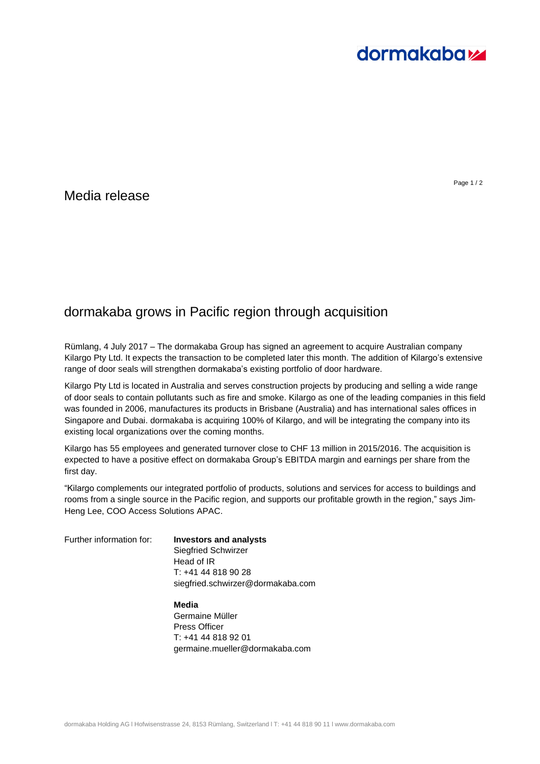

## Media release

## dormakaba grows in Pacific region through acquisition

Rümlang, 4 July 2017 – The dormakaba Group has signed an agreement to acquire Australian company Kilargo Pty Ltd. It expects the transaction to be completed later this month. The addition of Kilargo's extensive range of door seals will strengthen dormakaba's existing portfolio of door hardware.

Kilargo Pty Ltd is located in Australia and serves construction projects by producing and selling a wide range of door seals to contain pollutants such as fire and smoke. Kilargo as one of the leading companies in this field was founded in 2006, manufactures its products in Brisbane (Australia) and has international sales offices in Singapore and Dubai. dormakaba is acquiring 100% of Kilargo, and will be integrating the company into its existing local organizations over the coming months.

Kilargo has 55 employees and generated turnover close to CHF 13 million in 2015/2016. The acquisition is expected to have a positive effect on dormakaba Group's EBITDA margin and earnings per share from the first day.

"Kilargo complements our integrated portfolio of products, solutions and services for access to buildings and rooms from a single source in the Pacific region, and supports our profitable growth in the region," says Jim-Heng Lee, COO Access Solutions APAC.

Further information for: **Investors and analysts**

Siegfried Schwirzer Head of IR T: +41 44 818 90 28 siegfried.schwirzer@dormakaba.com

**Media** Germaine Müller Press Officer T: +41 44 818 92 01 germaine.mueller@dormakaba.com